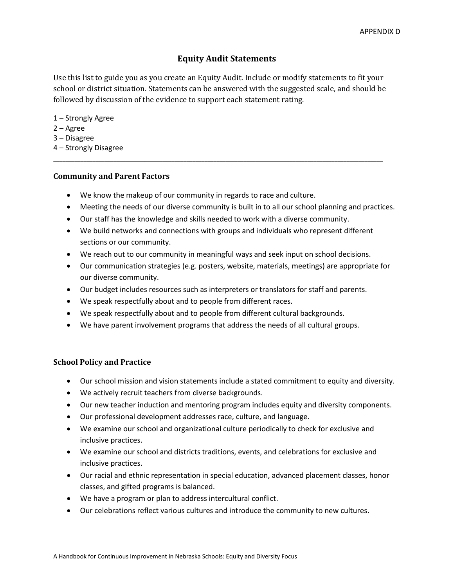# **Equity Audit Statements**

Use this list to guide you as you create an Equity Audit. Include or modify statements to fit your school or district situation. Statements can be answered with the suggested scale, and should be followed by discussion of the evidence to support each statement rating.

**\_\_\_\_\_\_\_\_\_\_\_\_\_\_\_\_\_\_\_\_\_\_\_\_\_\_\_\_\_\_\_\_\_\_\_\_\_\_\_\_\_\_\_\_\_\_\_\_\_\_\_\_\_\_\_\_\_\_\_\_\_\_\_\_\_\_\_\_\_\_\_\_\_\_\_\_\_\_\_\_\_\_\_\_\_\_\_\_\_\_\_\_\_\_\_\_\_\_\_\_\_\_\_\_\_\_\_\_\_**

1 – Strongly Agree

- 2 Agree
- 3 Disagree
- 4 Strongly Disagree

## **Community and Parent Factors**

- We know the makeup of our community in regards to race and culture.
- Meeting the needs of our diverse community is built in to all our school planning and practices.
- Our staff has the knowledge and skills needed to work with a diverse community.
- We build networks and connections with groups and individuals who represent different sections or our community.
- We reach out to our community in meaningful ways and seek input on school decisions.
- Our communication strategies (e.g. posters, website, materials, meetings) are appropriate for our diverse community.
- Our budget includes resources such as interpreters or translators for staff and parents.
- We speak respectfully about and to people from different races.
- We speak respectfully about and to people from different cultural backgrounds.
- We have parent involvement programs that address the needs of all cultural groups.

# **School Policy and Practice**

- Our school mission and vision statements include a stated commitment to equity and diversity.
- We actively recruit teachers from diverse backgrounds.
- Our new teacher induction and mentoring program includes equity and diversity components.
- Our professional development addresses race, culture, and language.
- We examine our school and organizational culture periodically to check for exclusive and inclusive practices.
- We examine our school and districts traditions, events, and celebrations for exclusive and inclusive practices.
- Our racial and ethnic representation in special education, advanced placement classes, honor classes, and gifted programs is balanced.
- We have a program or plan to address intercultural conflict.
- Our celebrations reflect various cultures and introduce the community to new cultures.